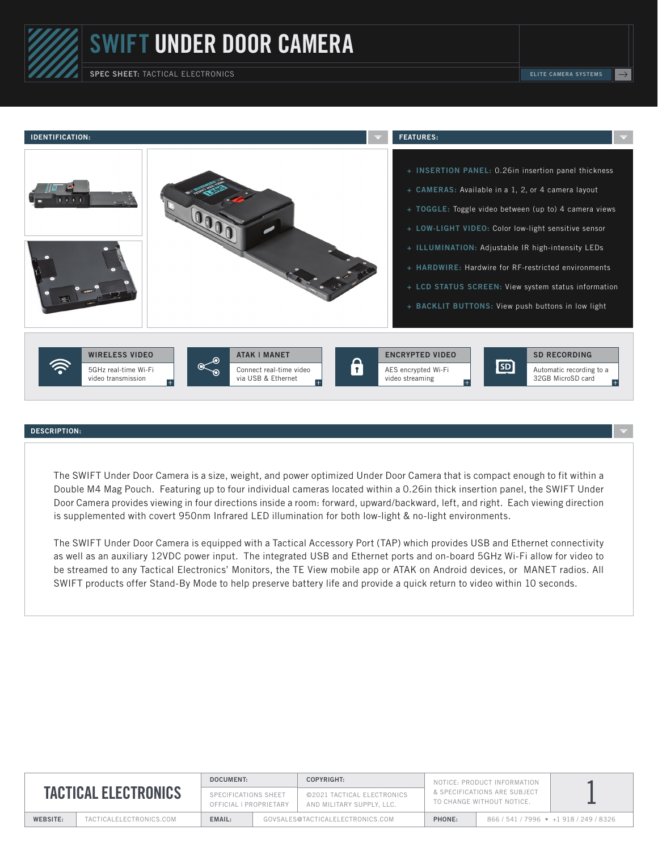## SWIFT UNDER DOOR CAMERA

SPEC SHEET: TACTICAL ELECTRONICS **Election Contract Contract Contract Contract Contract Contract Contract Contract Contract Contract Contract Contract Contract Contract Contract Contract Contract Contract Contract Contract** 



## DESCRIPTION:

The SWIFT Under Door Camera is a size, weight, and power optimized Under Door Camera that is compact enough to fit within a Double M4 Mag Pouch. Featuring up to four individual cameras located within a 0.26in thick insertion panel, the SWIFT Under Door Camera provides viewing in four directions inside a room: forward, upward/backward, left, and right. Each viewing direction is supplemented with covert 950nm Infrared LED illumination for both low-light & no-light environments.

The SWIFT Under Door Camera is equipped with a Tactical Accessory Port (TAP) which provides USB and Ethernet connectivity as well as an auxiliary 12VDC power input. The integrated USB and Ethernet ports and on-board 5GHz Wi-Fi allow for video to be streamed to any Tactical Electronics' Monitors, the TE View mobile app or ATAK on Android devices, or MANET radios. All SWIFT products offer Stand-By Mode to help preserve battery life and provide a quick return to video within 10 seconds.

| <b>TACTICAL ELECTRONICS</b> |                         | DOCUMENT:                                      |                                  | COPYRIGHT:                                              | NOTICE: PRODUCT INFORMATION<br>& SPECIFICATIONS ARE SUBJECT<br>TO CHANGE WITHOUT NOTICE. |                               |  |
|-----------------------------|-------------------------|------------------------------------------------|----------------------------------|---------------------------------------------------------|------------------------------------------------------------------------------------------|-------------------------------|--|
|                             |                         | SPECIFICATIONS SHEET<br>OFFICIAL I PROPRIETARY |                                  | ©2021 TACTICAL ELECTRONICS<br>AND MILITARY SUPPLY, LLC. |                                                                                          |                               |  |
| WEBSITE:                    | TACTICALELECTRONICS.COM | EMAIL:                                         | GOVSALES@TACTICALELECTRONICS.COM |                                                         | PHONE:                                                                                   | 866/541/7996 • +1918/249/8326 |  |